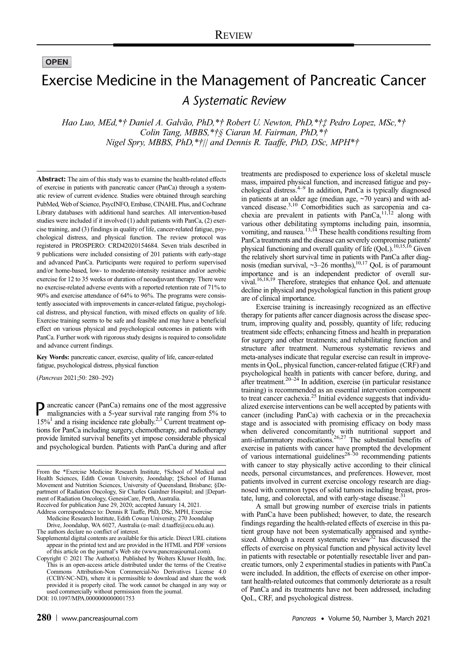**OPEN** 

# Exercise Medicine in the Management of Pancreatic Cancer A Systematic Review

Hao Luo, MEd,\*† Daniel A. Galvão, PhD,\*† Robert U. Newton, PhD,\*†‡ Pedro Lopez, MSc,\*† Colin Tang, MBBS,\*†§ Ciaran M. Fairman, PhD,\*† Nigel Spry, MBBS, PhD,\*†|| and Dennis R. Taaffe, PhD, DSc, MPH\*†

Abstract: The aim of this study was to examine the health-related effects of exercise in patients with pancreatic cancer (PanCa) through a systematic review of current evidence. Studies were obtained through searching PubMed, Web of Science, PsycINFO, Embase, CINAHL Plus, and Cochrane Library databases with additional hand searches. All intervention-based studies were included if it involved (1) adult patients with PanCa, (2) exercise training, and (3) findings in quality of life, cancer-related fatigue, psychological distress, and physical function. The review protocol was registered in PROSPERO: CRD42020154684. Seven trials described in 9 publications were included consisting of 201 patients with early-stage and advanced PanCa. Participants were required to perform supervised and/or home-based, low- to moderate-intensity resistance and/or aerobic exercise for 12 to 35 weeks or duration of neoadjuvant therapy. There were no exercise-related adverse events with a reported retention rate of 71% to 90% and exercise attendance of 64% to 96%. The programs were consistently associated with improvements in cancer-related fatigue, psychological distress, and physical function, with mixed effects on quality of life. Exercise training seems to be safe and feasible and may have a beneficial effect on various physical and psychological outcomes in patients with PanCa. Further work with rigorous study designs is required to consolidate and advance current findings.

Key Words: pancreatic cancer, exercise, quality of life, cancer-related fatigue, psychological distress, physical function

(Pancreas 2021;50: 280–292)

Pancreatic cancer (PanCa) remains one of the most aggressive malignancies with a 5-year survival rate ranging from 5% to  $15\%$ <sup>1</sup> and a rising incidence rate globally.<sup>2,3</sup> Current treatment options for PanCa including surgery, chemotherapy, and radiotherapy provide limited survival benefits yet impose considerable physical and psychological burden. Patients with PanCa during and after

Received for publication June 29, 2020; accepted January 14, 2021. Address correspondence to: Dennis R Taaffe, PhD, DSc, MPH, Exercise

Medicine Research Institute, Edith Cowan University, 270 Joondalup Drive, Joondalup, WA 6027, Australia (e‐mail: [d.taaffe@ecu.edu.au](mailto:d.taaffe@ecu.edu.au)).

DOI: 10.1097/MPA.0000000000001753

treatments are predisposed to experience loss of skeletal muscle mass, impaired physical function, and increased fatigue and psychological distress.4–<sup>9</sup> In addition, PanCa is typically diagnosed in patients at an older age (median age, ~70 years) and with advanced disease.<sup>3,10</sup> Comorbidities such as sarcopenia and cachexia are prevalent in patients with PanCa,11,12 along with various other debilitating symptoms including pain, insomnia, vomiting, and nausea.<sup>13,14</sup> These health conditions resulting from PanCa treatments and the disease can severely compromise patients' physical functioning and overall quality of life (QoL).<sup>10,15,16</sup> Given the relatively short survival time in patients with PanCa after diag-<br>nosis (median survival,  $\sim 3-26$  months),<sup>10,17</sup> QoL is of paramount importance and is an independent predictor of overall survival.16,18,19 Therefore, strategies that enhance QoL and attenuate decline in physical and psychological function in this patient group are of clinical importance.

Exercise training is increasingly recognized as an effective therapy for patients after cancer diagnosis across the disease spectrum, improving quality and, possibly, quantity of life; reducing treatment side effects; enhancing fitness and health in preparation for surgery and other treatments; and rehabilitating function and structure after treatment. Numerous systematic reviews and meta-analyses indicate that regular exercise can result in improvements in QoL, physical function, cancer-related fatigue (CRF) and psychological health in patients with cancer before, during, and after treatment. $20-24$  In addition, exercise (in particular resistance training) is recommended as an essential intervention component to treat cancer cachexia. $2<sup>5</sup>$  Initial evidence suggests that individualized exercise interventions can be well accepted by patients with cancer (including PanCa) with cachexia or in the precachexia stage and is associated with promising efficacy on body mass when delivered concomitantly with nutritional support and anti-inflammatory medications.26,27 The substantial benefits of exercise in patients with cancer have prompted the development of various international guidelines<sup>28–30</sup> recommending patients with cancer to stay physically active according to their clinical needs, personal circumstances, and preferences. However, most patients involved in current exercise oncology research are diagnosed with common types of solid tumors including breast, prostate, lung, and colorectal, and with early-stage disease. $31$ 

A small but growing number of exercise trials in patients with PanCa have been published; however, to date, the research findings regarding the health-related effects of exercise in this patient group have not been systematically appraised and synthesized. Although a recent systematic review<sup>32</sup> has discussed the effects of exercise on physical function and physical activity level in patients with resectable or potentially resectable liver and pancreatic tumors, only 2 experimental studies in patients with PanCa were included. In addition, the effects of exercise on other important health-related outcomes that commonly deteriorate as a result of PanCa and its treatments have not been addressed, including QoL, CRF, and psychological distress.

From the \*Exercise Medicine Research Institute, †School of Medical and Health Sciences, Edith Cowan University, Joondalup; ‡School of Human Movement and Nutrition Sciences, University of Queensland, Brisbane; §Department of Radiation Oncology, Sir Charles Gairdner Hospital; and ||Department of Radiation Oncology, GenesisCare, Perth, Australia.

The authors declare no conflict of interest.

Supplemental digital contents are available for this article. Direct URL citations appear in the printed text and are provided in the HTML and PDF versions of this article on the journal's Web site ([www.pancreasjournal.com](http://creativecommons.org/licenses/by-nc-nd/4.0/)). Copyright © 2021 The Author(s). Published by Wolters Kluwer Health, Inc.

This is an open-access article distributed under the terms of the [Creative](http://creativecommons.org/licenses/by--nc--nd/4.0/) [Commons Attribution-Non Commercial-No Derivatives License 4.0](http://creativecommons.org/licenses/by--nc--nd/4.0/) [\(CCBY-NC-ND\)](http://creativecommons.org/licenses/by--nc--nd/4.0/), where it is permissible to download and share the work provided it is properly cited. The work cannot be changed in any way or used commercially without permission from the journal.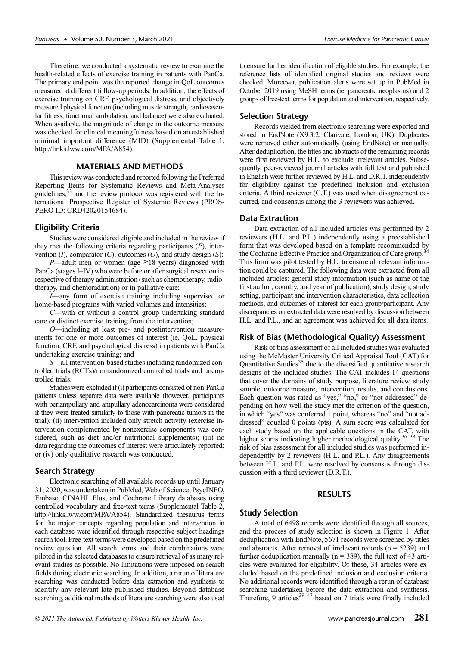Therefore, we conducted a systematic review to examine the health-related effects of exercise training in patients with PanCa. The primary end point was the reported change in QoL outcomes measured at different follow-up periods. In addition, the effects of exercise training on CRF, psychological distress, and objectively measured physical function (including muscle strength, cardiovascular fitness, functional ambulation, and balance) were also evaluated. When available, the magnitude of change in the outcome measure was checked for clinical meaningfulness based on an established minimal important difference (MID) (Supplemental Table 1, <http://links.lww.com/MPA/A854>).

# MATERIALS AND METHODS

This review was conducted and reported following the Preferred Reporting Items for Systematic Reviews and Meta-Analyses guidelines,  $33$  and the review protocol was registered with the International Prospective Register of Systemic Reviews (PROS-PERO ID: CRD42020154684).

## Eligibility Criteria

Studies were considered eligible and included in the review if they met the following criteria regarding participants (P), intervention  $(I)$ , comparator  $(C)$ , outcomes  $(O)$ , and study design  $(S)$ :

P—adult men or women (age  $\geq$ 18 years) diagnosed with PanCa (stages I–IV) who were before or after surgical resection irrespective of therapy administration (such as chemotherapy, radiotherapy, and chemoradiation) or in palliative care;

I—any form of exercise training including supervised or home-based programs with varied volumes and intensities;

C—with or without a control group undertaking standard care or distinct exercise training from the intervention;

O—including at least pre- and postintervention measurements for one or more outcomes of interest (ie, QoL, physical function, CRF, and psychological distress) in patients with PanCa undertaking exercise training; and

S—all intervention-based studies including randomized controlled trials (RCTs)/nonrandomized controlled trials and uncontrolled trials.

Studies were excluded if (i) participants consisted of non-PanCa patients unless separate data were available (however, participants with periampullary and ampullary adenocarcinoma were considered if they were treated similarly to those with pancreatic tumors in the trial); (ii) intervention included only stretch activity (exercise intervention complemented by nonexercise components was considered, such as diet and/or nutritional supplements); (iii) no data regarding the outcomes of interest were articulately reported; or (iv) only qualitative research was conducted.

### Search Strategy

Electronic searching of all available records up until January 31, 2020, was undertaken in PubMed, Web of Science, PsycINFO, Embase, CINAHL Plus, and Cochrane Library databases using controlled vocabulary and free-text terms (Supplemental Table 2, <http://links.lww.com/MPA/A854>). Standardized thesaurus terms for the major concepts regarding population and intervention in each database were identified through respective subject headings search tool. Free-text terms were developed based on the predefined review question. All search terms and their combinations were piloted in the selected databases to ensure retrieval of as many relevant studies as possible. No limitations were imposed on search fields during electronic searching. In addition, a rerun of literature searching was conducted before data extraction and synthesis to identify any relevant late-published studies. Beyond database searching, additional methods of literature searching were also used to ensure further identification of eligible studies. For example, the reference lists of identified original studies and reviews were checked. Moreover, publication alerts were set up in PubMed in October 2019 using MeSH terms (ie, pancreatic neoplasms) and 2 groups of free-text terms for population and intervention, respectively.

## Selection Strategy

Records yielded from electronic searching were exported and stored in EndNote (X9.3.2, Clarivate, London, UK). Duplicates were removed either automatically (using EndNote) or manually. After deduplication, the titles and abstracts of the remaining records were first reviewed by H.L. to exclude irrelevant articles. Subsequently, peer-reviewed journal articles with full text and published in English were further reviewed by H.L. and D.R.T. independently for eligibility against the predefined inclusion and exclusion criteria. A third reviewer (C.T.) was used when disagreement occurred, and consensus among the 3 reviewers was achieved.

# Data Extraction

Data extraction of all included articles was performed by 2 reviewers (H.L. and P.L.) independently using a preestablished form that was developed based on a template recommended by<br> $\frac{34}{100}$ the Cochrane Effective Practice and Organization of Care group.<sup>3</sup> This form was pilot tested by H.L. to ensure all relevant information could be captured. The following data were extracted from all included articles: general study information (such as name of the first author, country, and year of publication), study design, study setting, participant and intervention characteristics, data collection methods, and outcomes of interest for each group/participant. Any discrepancies on extracted data were resolved by discussion between H.L. and P.L., and an agreement was achieved for all data items.

## Risk of Bias (Methodological Quality) Assessment

Risk of bias assessment of all included studies was evaluated using the McMaster University Critical Appraisal Tool (CAT) for Quantitative Studies<sup>35</sup> due to the diversified quantitative research designs of the included studies. The CAT includes 14 questions that cover the domains of study purpose, literature review, study sample, outcome measure, intervention, results, and conclusions. Each question was rated as "yes," "no," or "not addressed" depending on how well the study met the criterion of the question, in which "yes" was conferred 1 point, whereas "no" and "not addressed" equaled 0 points (pts). A sum score was calculated for each study based on the applicable questions in the CAT, with higher scores indicating higher methodological quality.<sup>36–38</sup> The risk of bias assessment for all included studies was performed independently by 2 reviewers (H.L. and P.L.). Any disagreements between H.L. and P.L. were resolved by consensus through discussion with a third reviewer (D.R.T.).

# RESULTS

#### Study Selection

A total of 6498 records were identified through all sources, and the process of study selection is shown in Figure 1. After deduplication with EndNote, 5671 records were screened by titles and abstracts. After removal of irrelevant records  $(n = 5239)$  and further deduplication manually ( $n = 389$ ), the full text of 43 articles were evaluated for eligibility. Of these, 34 articles were excluded based on the predefined inclusion and exclusion criteria. No additional records were identified through a rerun of database searching undertaken before the data extraction and synthesis. Therefore, 9 articles<sup>39-47</sup> based on 7 trials were finally included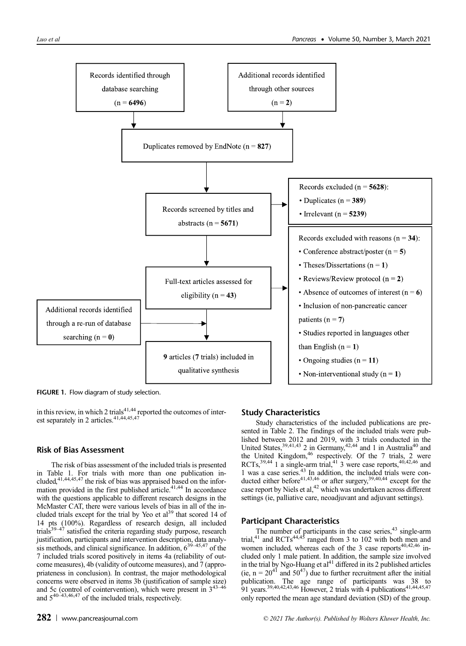

FIGURE 1. Flow diagram of study selection.

in this review, in which 2 trials $41,44$  reported the outcomes of interest separately in 2 articles.<sup>41,44,45,47</sup>

# Risk of Bias Assessment

The risk of bias assessment of the included trials is presented in Table 1. For trials with more than one publication in-<br>cluded,<sup>41,44,45,47</sup> the risk of bias was appraised based on the information provided in the first published article.<sup>41,44</sup> In accordance with the questions applicable to different research designs in the McMaster CAT, there were various levels of bias in all of the included trials except for the trial by Yeo et al<sup>39</sup> that scored 14 of 14 pts (100%). Regardless of research design, all included trials<sup>39-47</sup> satisfied the criteria regarding study purpose, research justification, participants and intervention description, data analy-<br>sis methods, and clinical significance. In addition, 6<sup>39–45,47</sup> of the 7 included trials scored positively in items 4a (reliability of outcome measures), 4b (validity of outcome measures), and 7 (appropriateness in conclusion). In contrast, the major methodological concerns were observed in items 3b (justification of sample size) and 5c (control of cointervention), which were present in  $3^{43-46}$ and  $5^{40-43,46,47}$  of the included trials, respectively.

# Study Characteristics

Study characteristics of the included publications are presented in Table 2. The findings of the included trials were published between 2012 and 2019, with 3 trials conducted in the United States,  $39,41,43$  2 in Germany,  $42,44$  and 1 in Australia<sup>40</sup> and the United Kingdom, $46$  respectively. Of the 7 trials, 2 were RCTs, $39,44$  1 a single-arm trial, $41$  3 were case reports, $40,42,46$  and 1 was a case series.43 In addition, the included trials were conducted either before<sup>41,43,46</sup> or after surgery,  $39,40,44$  except for the case report by Niels et al,<sup>42</sup> which was undertaken across different settings (ie, palliative care, neoadjuvant and adjuvant settings).

# Participant Characteristics

The number of participants in the case series,<sup>43</sup> single-arm trial,<sup>41</sup> and RCTs<sup>44,45</sup> ranged from 3 to 102 with both men and women included, whereas each of the 3 case reports $40,42,46$  included only 1 male patient. In addition, the sample size involved in the trial by Ngo-Huang et  $al<sup>41</sup>$  differed in its 2 published articles (ie,  $n = 20^{41}$  and  $50^{47}$ ) due to further recruitment after the initial publication. The age range of participants was 38 to 91 years.<sup>39,40,42,43,46</sup> However, 2 trials with 4 publications<sup>41,44,45,47</sup> only reported the mean age standard deviation (SD) of the group.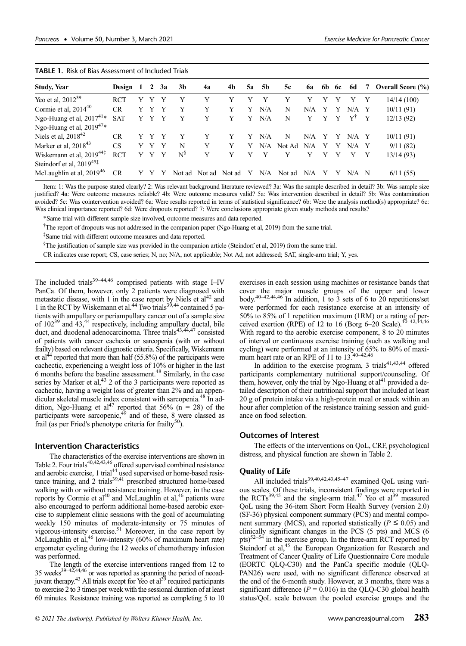| <b>Study, Year</b>                   | Design 1   |   | $\overline{2}$ | 3a | 3b       | 4a     | 4b     | 5a | <b>5b</b> | 5c     | <b>6a</b> | 6b | 6c | 6d               | 7 | <b>Overall Score (%)</b> |
|--------------------------------------|------------|---|----------------|----|----------|--------|--------|----|-----------|--------|-----------|----|----|------------------|---|--------------------------|
| Yeo et al, $2012^{39}$               | <b>RCT</b> |   |                |    | v        |        |        |    |           |        |           |    |    |                  |   | 14/14(100)               |
| Cormie et al, $2014^{40}$            | <b>CR</b>  | Y |                | v  | Y        | Y      | Y      | Y  | N/A       | N      | N/A       | Y  | Y  | N/A              |   | 10/11(91)                |
| Ngo-Huang et al, $2017^{41*}$        | <b>SAT</b> | Y | Y              | Y  | Y        | Y      | Y      | Y  | N/A       | N      |           | Y  | Y  | Y <sup>†</sup> Y |   | 12/13(92)                |
| Ngo-Huang et al, 2019 <sup>47*</sup> |            |   |                |    |          |        |        |    |           |        |           |    |    |                  |   |                          |
| Niels et al, $2018^{42}$             | <b>CR</b>  |   |                | v  | Y        | Y      | Y      | Y  | N/A       | N      | N/A       | Y  | Y  | $N/A$ Y          |   | 10/11(91)                |
| Marker et al, $2018^{43}$            | <b>CS</b>  | Y | Y              | Y  | N        | Y      | Y      | Y  | N/A       | Not Ad | N/A       | Y  | Y  | $N/A$ Y          |   | 9/11(82)                 |
| Wiskemann et al, $2019^{44}$         | <b>RCT</b> |   |                | v  | $N^{\S}$ | Y      | Y      |    |           |        |           | Y  | v  |                  |   | 13/14(93)                |
| Steindorf et al, 2019 <sup>45‡</sup> |            |   |                |    |          |        |        |    |           |        |           |    |    |                  |   |                          |
| McLaughlin et al, $2019^{46}$        | <b>CR</b>  |   |                |    | Not ad   | Not ad | Not ad | Y  | N/A       | Not ad | N/A       |    |    | $N/A$ N          |   | 6/11(55)                 |

#### TABLE 1. Risk of Bias Assessment of Included Trials

Item: 1: Was the purpose stated clearly? 2: Was relevant background literature reviewed? 3a: Was the sample described in detail? 3b: Was sample size justified? 4a: Were outcome measures reliable? 4b: Were outcome measures valid? 5a: Was intervention described in detail? 5b: Was contamination avoided? 5c: Was cointervention avoided? 6a: Were results reported in terms of statistical significance? 6b: Were the analysis method(s) appropriate? 6c: Was clinical importance reported? 6d: Were dropouts reported? 7: Were conclusions appropriate given study methods and results?

\*Same trial with different sample size involved, outcome measures and data reported.

<sup>†</sup>The report of dropouts was not addressed in the companion paper (Ngo-Huang et al, 2019) from the same trial.

‡ Same trial with different outcome measures and data reported.

<sup>§</sup>The justification of sample size was provided in the companion article (Steindorf et al, 2019) from the same trial.

CR indicates case report; CS, case series; N, no; N/A, not applicable; Not Ad, not addressed; SAT, single-arm trial; Y, yes.

The included trials $39-44,46$  comprised patients with stage I–IV PanCa. Of them, however, only 2 patients were diagnosed with metastatic disease, with 1 in the case report by Niels et al<sup>42</sup> and 1 in the RCT by Wiskemann et al.<sup>44</sup> Two trials<sup>35,44</sup> contained 5 patients with ampullary or periampullary cancer out of a sample size of  $102^{39}$  and  $43<sup>44</sup>$  respectively, including ampullary ductal, bile duct, and duodenal adenocarcinoma. Three trials<sup>43,44,47</sup> consisted of patients with cancer cachexia or sarcopenia (with or without frailty) based on relevant diagnostic criteria. Specifically, Wiskemann et al<sup>44</sup> reported that more than half  $(55.8\%)$  of the participants were cachectic, experiencing a weight loss of 10% or higher in the last 6 months before the baseline assessment.48 Similarly, in the case series by Marker et al,  $43$  2 of the 3 participants were reported as cachectic, having a weight loss of greater than 2% and an appendicular skeletal muscle index consistent with sarcopenia.48 In addition, Ngo-Huang et al<sup>47</sup> reported that 56% ( $n = 28$ ) of the participants were sarcopenic, $49$  and of these, 8 were classed as frail (as per Fried's phenotype criteria for frailty<sup>50</sup>).

# Intervention Characteristics

The characteristics of the exercise interventions are shown in Table 2. Four trials<sup>40,42,43,46</sup> offered supervised combined resistance and aerobic exercise, 1 trial<sup>44</sup> used supervised or home-based resistance training, and  $2$  trials<sup>39,41</sup> prescribed structured home-based walking with or without resistance training. However, in the case reports by Cormie et al<sup>40</sup> and McLaughlin et al,<sup>46</sup> patients were also encouraged to perform additional home-based aerobic exercise to supplement clinic sessions with the goal of accumulating weekly 150 minutes of moderate-intensity or 75 minutes of vigorous-intensity exercise.<sup>51</sup> Moreover, in the case report by McLaughlin et al,<sup>46</sup> low-intensity (60% of maximum heart rate) ergometer cycling during the 12 weeks of chemotherapy infusion was performed.

The length of the exercise interventions ranged from 12 to 35 weeks<sup>39–42,44,46</sup> or was reported as spanning the period of neoadjuvant therapy.<sup>43</sup> All trials except for Yeo et al<sup>39</sup> required participants to exercise 2 to 3 times per week with the sessional duration of at least 60 minutes. Resistance training was reported as completing 5 to 10 exercises in each session using machines or resistance bands that cover the major muscle groups of the upper and lower body.<sup>40–42,44,46</sup> In addition,  $1 \overline{)}$  to  $3 \overline{)}$  sets of 6 to 20 repetitions/set were performed for each resistance exercise at an intensity of 50% to 85% of 1 repetition maximum (1RM) or a rating of per-<br>ceived exertion (RPE) of 12 to 16 (Borg 6–20 Scale).<sup>40–42,44,46</sup> With regard to the aerobic exercise component, 8 to 20 minutes of interval or continuous exercise training (such as walking and cycling) were performed at an intensity of 65% to 80% of maxi-<br>mum heart rate or an RPE of 11 to 13.<sup>40–42,46</sup>

In addition to the exercise program, 3 trials $41,43,44$  offered participants complementary nutritional support/counseling. Of them, however, only the trial by Ngo-Huang et  $al<sup>41</sup>$  provided a detailed description of their nutritional support that included at least 20 g of protein intake via a high-protein meal or snack within an hour after completion of the resistance training session and guidance on food selection.

# Outcomes of Interest

The effects of the interventions on QoL, CRF, psychological distress, and physical function are shown in Table 2.

#### Quality of Life

All included trials $39,40,42,43,45-47$  examined QoL using various scales. Of these trials, inconsistent findings were reported in the RCTs<sup>39,45</sup> and the single-arm trial.<sup>47</sup> Yeo et al<sup>39</sup> measured QoL using the 36-item Short Form Health Survey (version 2.0) (SF-36) physical component summary (PCS) and mental component summary (MCS), and reported statistically ( $P \le 0.05$ ) and clinically significant changes in the PCS (5 pts) and MCS (6 pts) $52-54$  in the exercise group. In the three-arm RCT reported by Steindorf et al,<sup>45</sup> the European Organization for Research and Treatment of Cancer Quality of Life Questionnaire Core module (EORTC QLQ-C30) and the PanCa specific module (QLQ-PAN26) were used, with no significant difference observed at the end of the 6-month study. However, at 3 months, there was a significant difference ( $P = 0.016$ ) in the QLQ-C30 global health status/QoL scale between the pooled exercise groups and the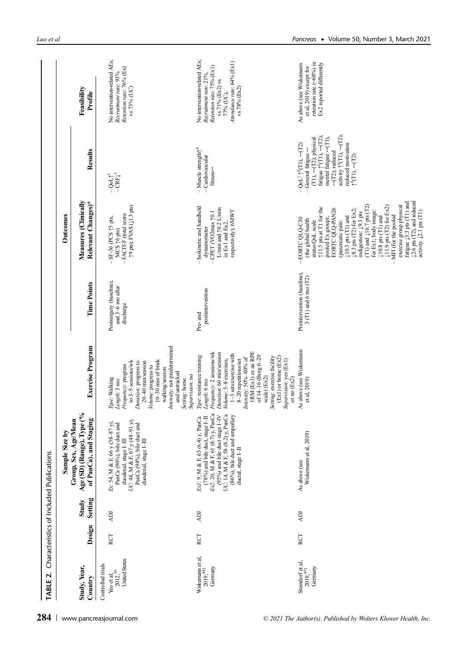| TABLE <sub>2</sub>                                                      |        |                  | Characteristics of Included Publications                                                                                                                                                                                                     |                                                                                                                                                                                                                                                                                              |                                                         |                                                                                                                                                                                                                                                                                                                                                  |                                                                                                                                                                                                                                                                                                                                                                                                          |                                                                                                                                                                   |
|-------------------------------------------------------------------------|--------|------------------|----------------------------------------------------------------------------------------------------------------------------------------------------------------------------------------------------------------------------------------------|----------------------------------------------------------------------------------------------------------------------------------------------------------------------------------------------------------------------------------------------------------------------------------------------|---------------------------------------------------------|--------------------------------------------------------------------------------------------------------------------------------------------------------------------------------------------------------------------------------------------------------------------------------------------------------------------------------------------------|----------------------------------------------------------------------------------------------------------------------------------------------------------------------------------------------------------------------------------------------------------------------------------------------------------------------------------------------------------------------------------------------------------|-------------------------------------------------------------------------------------------------------------------------------------------------------------------|
|                                                                         |        |                  | Sample Size by                                                                                                                                                                                                                               |                                                                                                                                                                                                                                                                                              |                                                         | Outcomes                                                                                                                                                                                                                                                                                                                                         |                                                                                                                                                                                                                                                                                                                                                                                                          |                                                                                                                                                                   |
| Study, Year,<br>Country                                                 | Design | Setting<br>Study | Age (SD) (Range), Type (%<br>of PanCa), and Staging<br>ean<br>Group, Sex, Age/M                                                                                                                                                              | <b>Exercise Program</b>                                                                                                                                                                                                                                                                      | <b>Time Points</b>                                      | Measures (Clinically<br>Relevant Changes)*                                                                                                                                                                                                                                                                                                       | Results                                                                                                                                                                                                                                                                                                                                                                                                  | Feasibility<br>Profile                                                                                                                                            |
| <b>United States</b><br>Controlled trials<br>Yeo et al,<br>$2012,^{39}$ | RCT    | JŒ               | duodenal, stage I-III<br>UC: 48, M & F, 67 y (48-91 y),<br>PanCa (94%), bile duct and<br>D,<br>PanCa (96%), bile duct and<br>Ex: 54, M & F, 66 y (38-87<br>duodenal, stage I-III                                                             | Intensity: not predetermined<br>10-30 min of brisk<br>to 3-5 sessions/wk<br>Duration: progress to<br>20-40 min/session<br>Frequency: progress<br>Volume: progress to<br>walking/session<br>and untracked<br>Type: Walking<br>Length: 3 mo                                                    | Postsurgery (baseline), and $3-6$ mo after<br>discharge | (11.3 pts); FVAS (11.3 pts)<br>- FACIT-F (total score<br>SF-36 (PCS 15 pts,<br>MCS $\uparrow$ 6 pts)                                                                                                                                                                                                                                             | $-\mathbf{C}\mathbf{R}\mathbf{F}\downarrow^{\dagger}$<br>$-$ QoL $\uparrow^\dagger$                                                                                                                                                                                                                                                                                                                      | No intervention-related AEs;<br>Retention rate: 76% (Ex)<br>Recruitment rate: 93%<br>vs 73% (UC)                                                                  |
| Wiskernam et al,<br>$2019,441$<br>Germany                               | RCT    | <b>ICK</b>       | (78%) and bile duct, stage I-II<br>$Ex2$ : 20, M & F, 61 (8.7) y, PanCa<br>PanCa<br>(86%), bile duct and ampullary<br>ductal, stage I-II<br>(95%) and bile duct stage I-IV<br>Ex1: 9, M & F, 63 (6.4) y, PanCa<br>UC: 14, M & F, 58 (8.2) y, | Frequency: 2 sessions/wk<br>IRM (Ex1) or an RPE<br>Duration: 60 min/session<br>1-3 sets/exercise with<br>Type: resistance training<br>of $14-16$ (Borg $6-20$<br>Intensity: 50%-80% of<br>Volume: 5-8 exercises,<br>8-20 repetitions/set<br>Supervision: no<br>Setting: home<br>Length: 6 mo | postintervention<br>Pre- and                            | - Isokinetic and handheld<br>L/min and 10.2 L/min<br>respectively); 6MWT<br>CPET (VO2max 10.1<br>in Ex1 and Ex2,<br>dynamometer                                                                                                                                                                                                                  | $-$ Muscle strength<br>$\uparrow^\$$<br>Cardiovascular<br>fitness-                                                                                                                                                                                                                                                                                                                                       | No intervention-related AEs;<br>Attendance rate: 64% (Ex1)<br>Retention rate: 75% (Ex1)<br>Recruitment rate: 21%,<br>vs 71% (Ex2) vs<br>vs 78% (Ex2)<br>77% (UC), |
| Steindorf et al,<br>$2019,451$<br>Germany                               | RCT    | <b>ICK</b>       | Wiskemann et al, 2019)<br>As above (see                                                                                                                                                                                                      | As above (see Wiskemam<br>$(Ex1)$ or home $(Ex2)$<br>Setting: exercise facility<br>Supervision: yes (Ex1)<br>scale) (Ex2)<br>or no $(Ex2)$<br>et al, 2019)                                                                                                                                   | Preintervention (baseline),<br>$3$ (T1) and 6 mo (T2)   | 11.5 pts at T1 for the<br><b>EORTC QLQ-PAN26</b><br>$\downarrow$ 8.3 pts (T2) for Ex2;<br>$\downarrow$ 10.3 pts (T1) and<br>pooled Ex group);<br>EORTC QLQ-C30<br>(the global health<br>status/QoL scale<br>(pancreatic pain:                                                                                                                    | activity $\uparrow^8(T1)$ , $\leftarrow$ (T2);<br>fatigue $\uparrow^8(T1)$ , $\leftarrow$ (T2);<br>mental fatigue $\leftarrow$ (T1),<br>$(T1), \leftarrow (T2)$ ; physical<br>reduced motivation<br>$\mathrm{Ool}^{\parallel} \, \uparrow^{\mathrm{s}}(\mathrm{T1}),\, \leftarrow\! (\mathrm{T2})$<br>General fatigue <<br>$\leftarrow$ (T2); reduced<br>$\uparrow$ <sup>8</sup> (T1), $\leftarrow$ (T2) | retention rate $(=68\%)$ in<br>Ex2 reported differently<br>As above (see Wiskemann<br>et al, 2019) except for                                                     |
|                                                                         |        |                  |                                                                                                                                                                                                                                              |                                                                                                                                                                                                                                                                                              |                                                         | $\downarrow$ 2.6 pts (T2), and reduced<br>fatigue $\downarrow$ 3.3 pts (T1) and<br>$(T1)$ and $\downarrow$ 16.7 pts $(T2)$<br>$\downarrow$ 10.8 pts (T1) and<br>$\downarrow$ 11.9 pts (T2) for Ex2)<br>exercise group physical<br>for Ex1; body image:<br>activity 12.1 pts (T1)<br>indigestion: 19.3 pts<br>MFI (for the pooled<br>$\mathbf{I}$ |                                                                                                                                                                                                                                                                                                                                                                                                          |                                                                                                                                                                   |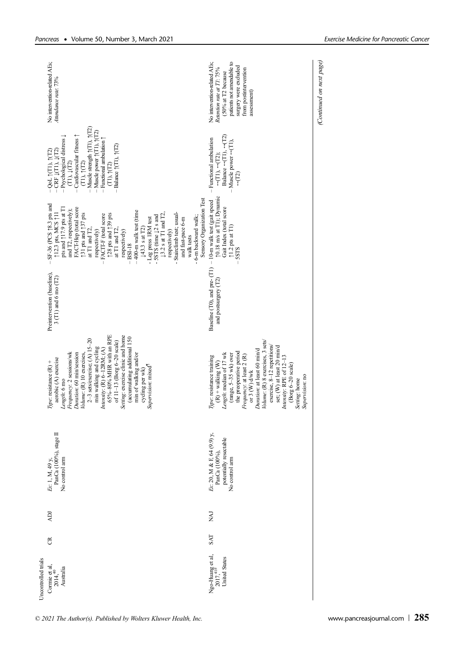|                     | No intervention-related AEs;<br>Attendance rate: 73%                                                                                                                                                                                                                                                                                                                                                                                                                                                                                                                                              | patients not amendable to<br>No intervention-related AEs;<br>surgery were excluded<br>Retention rate at T1: 75%<br>from postintervention<br>(50% at T2 because<br>assessment)                                                                                                                                                                                                                      |
|---------------------|---------------------------------------------------------------------------------------------------------------------------------------------------------------------------------------------------------------------------------------------------------------------------------------------------------------------------------------------------------------------------------------------------------------------------------------------------------------------------------------------------------------------------------------------------------------------------------------------------|----------------------------------------------------------------------------------------------------------------------------------------------------------------------------------------------------------------------------------------------------------------------------------------------------------------------------------------------------------------------------------------------------|
|                     | $-M$ uscle strength $\uparrow$ (T1), $\uparrow$ (T2)<br>$-Muscle power (T1), (T2)$<br>- Cardiovascular fitness $\uparrow$<br>- Psychological distress $\downarrow$<br>$-$ Functional ambulation $\uparrow$<br>Balance $(11)$ , $(12)$<br>$-$ QoL $\uparrow$ (T1), $\uparrow$ (T2)<br>$-$ CRF $\downarrow$ (T1), $\downarrow$ (T2)<br>(T1), T(T2)<br>$(T1), \downarrow (T2)$<br>(T1), (T2)                                                                                                                                                                                                         | Balance $\leftarrow$ (T1), $\leftarrow$ (T2)<br>- Functional ambulation<br>$-$ Muscle power $\leftarrow$ (T1),<br>$\leftarrow$ (T1), $\leftarrow$ (T2);<br>$\rightarrow$ (T2)                                                                                                                                                                                                                      |
|                     | Sensory Organization Test<br>SF-36 (PCS 18.3 pts and<br>FACT-Hep (total score<br>pts and $\uparrow$ 17.9 pts at T1<br>and T2, respectively);<br>-400-m walk test (time<br>112.3 pts, MCS 111<br>Stairclimb test; usual-<br>- 5STS (time $\downarrow$ 2 s and<br>$\downarrow$ 3.2 s at T1 and T2,<br>$\uparrow$ 31 pts and $\uparrow$ 37 pts<br>128 pts and 139 pts<br>FACIT-F (total score<br>- 6-m backward walk;<br>- Leg press 1RM test<br>and fast-pace 6-m<br>↓43.3 s at T2)<br>at T1 and T2,<br>at T1 and T2,<br>respectively)<br>respectively)<br>respectively)<br>walk tests<br>$-BSI-18$ | 10.18 m/s at T1); Dynamic<br>Gait Index (total score<br>$\begin{array}{c} \uparrow 1.2 \text{ pts at T1)} \\ -5 \text{STS} \end{array}$                                                                                                                                                                                                                                                            |
|                     | Preintervention (baseline),<br>$3$ (T1) and 6 mo (T2)                                                                                                                                                                                                                                                                                                                                                                                                                                                                                                                                             | Baseline (T0), and pre- $(T1) - 10$ -m walk test (gait speed<br>and postsurgery (T2)                                                                                                                                                                                                                                                                                                               |
|                     | $65\% - 80\%$ MHR with an RPE<br>Setting: exercise clinic and home<br>(accumulating additional 150<br>$2-3$ sets/exercise; $(A)$ 15-20<br>of 11-13 (Borg 6-20 scale)<br>min walking and cycling<br>Intensity: (R) 6-12RM; (A)<br>Frequency: 2 sessions/wk<br>Duration: 60 min/session<br>min of walking and/or<br>Volume: (R) 10 exercises,<br>aerobic (A) exercise<br>Type: resistance $(R)$ +<br>Supervision: mixed<br>cycling per wk)<br>Length: 6 mo                                                                                                                                          | Volume: (R) 8 exercises, 3 sets/<br>exercise, 8-12 repetitions<br>set; (W) at least 20 min/d<br>Duration: at least 60 min/d<br>the preoperative period<br>Length: median of 17 wk<br>(range, 5-35 wk) over<br>Frequency: at least 2 (R)<br>Intensity: RPE of 12-13<br>Type: resistance training<br>$(R)$ + walking $(W)$<br>(Borg 6-20 scale)<br>or 3 (W) d/wk<br>Supervision: no<br>Setting: home |
|                     | PanCa (100%), stage II<br>No control arm<br>Ex: 1, M, 49 y,                                                                                                                                                                                                                                                                                                                                                                                                                                                                                                                                       | Ex: 20, M & F, 64 (9.9) y,<br>potentially resectable<br>PanCa (100%),<br>No control arm                                                                                                                                                                                                                                                                                                            |
|                     | Ř                                                                                                                                                                                                                                                                                                                                                                                                                                                                                                                                                                                                 | <b>NAJ</b>                                                                                                                                                                                                                                                                                                                                                                                         |
|                     | ජි                                                                                                                                                                                                                                                                                                                                                                                                                                                                                                                                                                                                | <b>SAT</b>                                                                                                                                                                                                                                                                                                                                                                                         |
| Uncontrolled trials | Cormie et al,<br>$2014,40$<br>Australia                                                                                                                                                                                                                                                                                                                                                                                                                                                                                                                                                           | Ngo-Huang et al,<br>$2017, ^{41#}$<br><b>United States</b>                                                                                                                                                                                                                                                                                                                                         |

(Continued on next page)

(Continued on next page)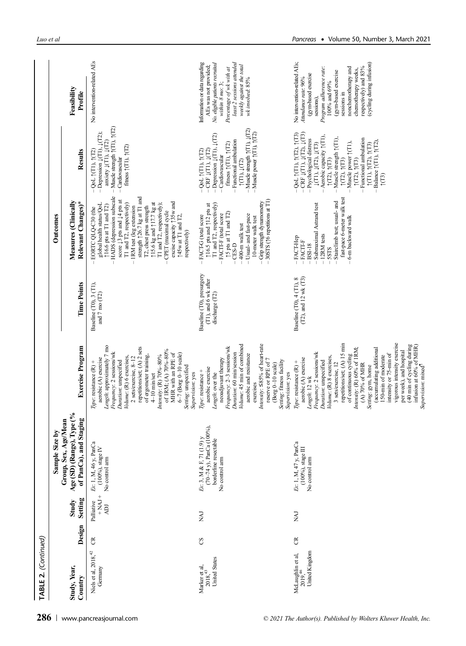| TABLE 2. (Continued)                                   |        |                                                           |                                                                                                                |                                                                                                                                                                                                                                                                                                                                                                                                                                                                                                                                            |                                                                     |                                                                                                                                                                                                                                                                                                                                                                                                                                                                                    |                                                                                                                                                                                                                                                                                                                                                                                                                                                                                                                                                                                                          |                                                                                                                                                                                                                                                                                  |
|--------------------------------------------------------|--------|-----------------------------------------------------------|----------------------------------------------------------------------------------------------------------------|--------------------------------------------------------------------------------------------------------------------------------------------------------------------------------------------------------------------------------------------------------------------------------------------------------------------------------------------------------------------------------------------------------------------------------------------------------------------------------------------------------------------------------------------|---------------------------------------------------------------------|------------------------------------------------------------------------------------------------------------------------------------------------------------------------------------------------------------------------------------------------------------------------------------------------------------------------------------------------------------------------------------------------------------------------------------------------------------------------------------|----------------------------------------------------------------------------------------------------------------------------------------------------------------------------------------------------------------------------------------------------------------------------------------------------------------------------------------------------------------------------------------------------------------------------------------------------------------------------------------------------------------------------------------------------------------------------------------------------------|----------------------------------------------------------------------------------------------------------------------------------------------------------------------------------------------------------------------------------------------------------------------------------|
|                                                        |        |                                                           | Sample Size by                                                                                                 |                                                                                                                                                                                                                                                                                                                                                                                                                                                                                                                                            |                                                                     | Outcomes                                                                                                                                                                                                                                                                                                                                                                                                                                                                           |                                                                                                                                                                                                                                                                                                                                                                                                                                                                                                                                                                                                          |                                                                                                                                                                                                                                                                                  |
| Study, Year,<br>Country                                | Design | Setting<br>Study                                          | Age (SD) (Range), Type (%<br>of PanCa), and Staging<br>Group, Sex, Age/Mean                                    | <b>Exercise Program</b>                                                                                                                                                                                                                                                                                                                                                                                                                                                                                                                    | <b>Time Points</b>                                                  | Measures (Clinically<br>Relevant Changes)*                                                                                                                                                                                                                                                                                                                                                                                                                                         | Results                                                                                                                                                                                                                                                                                                                                                                                                                                                                                                                                                                                                  | Feasibility<br>Profile                                                                                                                                                                                                                                                           |
| Niels et al, 2018, <sup>42</sup><br>Germany            | g      | $+ NAJ +$<br>Palliative<br>$\Delta \mathbf{D} \mathbf{I}$ | Ex: 1, M, 46 y, PanCa<br>$(100%)$ , stage IV<br>No control arm                                                 | Length: approximately 7 mo<br>repetitions/set; (A) 2 sets<br>of 1RM; (A) $70\% - 80\%$<br>Frequency: 2 sessions/wk<br>MHR with an RPE of<br>$6-7$ (Borg 0-10 scale)<br>Intensity: (R) 70%-80%<br>of ergometer training,<br>Volume: (R) 6 exercises,<br>$2$ sets/exercise, $8-12$<br>aerobic (A) exercise<br>Duration: unspecified<br>Type: resistance (R) +<br>Setting: unspecified<br>Supervision: yes<br>$4-10$ min/set                                                                                                                  | Baseline (T0), 3 (T1),<br>and $7 \text{ mo} (T2)$                   | $-$ HADS (depression subscale<br>score $\downarrow$ 3 pts and $\downarrow$ 4 pts at<br>strength $\uparrow$ 26.7 kg at T1 and<br>excise capacity 135w and<br>T1 and T2, respectively)<br>$\uparrow$ 15.6 kg and $\uparrow$ 17.7 kg at<br>global health status/QoL<br>T1 and T2, respectively);<br><b>16.6</b> pts at T1 and T2)<br>T2, chest press strength<br>- IRM test (leg extension<br>EORTC QLQ-C30 (the<br>CPET (maximal cycle<br><b>145w</b> at T1 and T2,<br>respectively) | $-Muscle$ strength $\uparrow$ (T1), $\uparrow$ (T2)<br>- Depression $\downarrow$ (T1), $\downarrow$ (T2);<br>anxiety $\downarrow$ (T1), $\downarrow$ (T2)<br>fitness $\uparrow$ (T1), $\uparrow$ (T2)<br>$-QoL$ $(TI)$ , $(TI)$<br>- Cardiovascular                                                                                                                                                                                                                                                                                                                                                      | No intervention-related AEs                                                                                                                                                                                                                                                      |
| <b>United States</b><br>Marker et al,<br>$2018, ^{43}$ | S      | Ikki                                                      | $(70-74 \text{ y})$ , PanCa $(100\%)$ ,<br>Ex: 3, M & F, 71 (1.9) y<br>borderline resectable<br>No control arm | Volume: 45 min of combined<br>Intensity: $\leq$ 85% of heart-rate<br>Frequency: 2-3 sessions/wk<br>Duration: 60 min/session<br>aerobic and resistance<br>neoadjuvant therapy<br>reserve or RPE of 7<br>Setting: fitness facility<br>(Borg 0-10 scale)<br>aerobic exercise<br>Type: resistance +<br>Supervision: yes<br>Length: over the<br>exercises                                                                                                                                                                                       | Baseline (T0), presurgery<br>(T1), and 6 wk after<br>discharge (T2) | $-30STS$ ( $\uparrow$ 6 repetitions at T1)<br>$-Grip$ strength dynamometry<br>$\uparrow$ 16.5 pts and $\uparrow$ 12 pts at<br>T1 and T2, respectively)<br>(5 pts at T1 and T2)<br>FACIT-F (total score<br>-FACT-G (total score<br>- Usual- and fast-pace<br>10-meter walk test<br>400-m walk test<br>CES-D                                                                                                                                                                         | $-$ Muscle strength $\uparrow$ (T1), $\downarrow$ (T2)<br>Muscle power (T1), (T2)<br>$-Depression$ (T1), $\downarrow$ (T2)<br>- Functional ambulation<br>fitness $\uparrow$ (T1), $\uparrow$ (T2)<br>$\begin{array}{l} -\text{QoL (TI), (TI)} \\ -\text{CRF (TI), (TI)} \end{array}$<br>Cardiovascular<br>(11), (112)                                                                                                                                                                                                                                                                                    | least 2 sessions attended<br>Information or data regarding<br>No. eligible patients recruited<br>weekly against the total<br>Percentage of wk with at<br>A.Es was not provided<br>wk involved: 85%<br>within 8 mo: 3;                                                            |
| United Kingdom<br>McLaughlin et al,<br>$2019,46$       | ర      | Ikin                                                      | Ex: 1, M, 47 y, PanCa<br>$(100\%)$ stage $\rm III$<br>No control arm                                           | vigorous intensity exercise<br>repetitions/set; (A) 15 min<br>(40 min of cycling during<br>infusion at 60% of MHR)<br>Supervision: mixed <sup>11</sup><br>Intensity: (R) 60% of 1RM;<br>(accumulating additional<br>per week), and hospital<br>Frequency: 2 sessions/wk<br>intensity or 75-min of<br>of continuous cycling<br>Volume: (R) 8 exercises,<br>150-min of moderate<br>aerobic (A) exercise<br>Type: resistance $(R)$ +<br>Duration: unspecified<br>3 sets/exercise, 12<br>(A) 70% of MHR<br>Setting: gym, home<br>Length: 12 wk | $(T2)$ , and 12 wk $(T3)$<br>Baseline (T0), 4 (T1), 8               | fast-pace 6-meter walk test<br>Stairclimb test; usual- and<br>- Submaximal Astrand test<br>6-m backward walk<br>$-12RM$ tests<br>FACT-Hep<br>$-$ FACIT-F<br><b>BSI-18</b><br><b>SSTS</b>                                                                                                                                                                                                                                                                                           | $-$ QoL $\uparrow$ (T1), $\uparrow$ (T2), $\uparrow$ (T3)<br>$-$ CRF $\downarrow$ (T1), $\downarrow$ (T2), $\downarrow$ (T3)<br>$-$ Psychological distress<br>Aerobic capacity $\uparrow$ (T1),<br>$-Muscle$ strength $\uparrow$ (T1),<br>- Functional ambulation<br>$\begin{array}{l} \uparrow \! (\mathrm{T1}), \uparrow \! (\mathrm{T2}), \uparrow \! (\mathrm{T3}) \\ \! - \; \mathrm{Balance} \uparrow \! (\mathrm{T1}), \uparrow \! (\mathrm{T2}), \end{array}$<br>$\downarrow$ (T1), $\downarrow$ (T2), $\downarrow$ (T3)<br>Muscle power (T1),<br>(12), (13)<br>(12), (13)<br>(12), (13)<br>(13) | No intervention-related AEs;<br>(cycling during infusion)<br>respectively) and 83%<br>nonchemotherapy and<br>Program adherence rate:<br>chemotherapy weeks,<br>(gym-based exercise<br>(gym-based exercise<br>Attendance rate: 96%<br>100% and $69%$<br>sessions in<br>sessions), |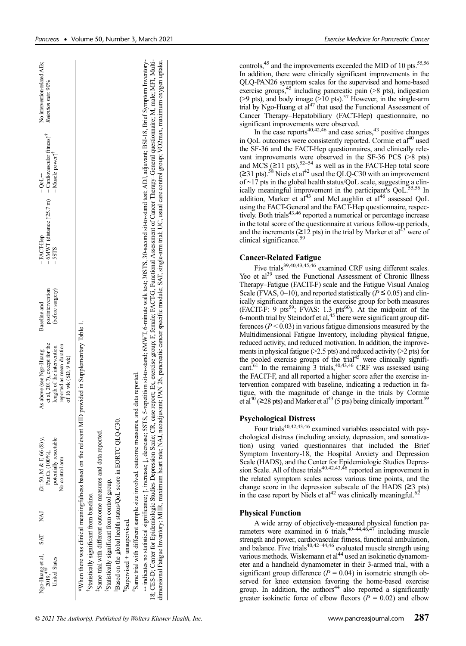| No intervention-related AEs;<br>Retention rate: 90%                                                                                       |                                                                                                                                                                                                                                                                                                                                                                                                                                                                                                                                                                                                                                          |  |
|-------------------------------------------------------------------------------------------------------------------------------------------|------------------------------------------------------------------------------------------------------------------------------------------------------------------------------------------------------------------------------------------------------------------------------------------------------------------------------------------------------------------------------------------------------------------------------------------------------------------------------------------------------------------------------------------------------------------------------------------------------------------------------------------|--|
| Muscle power <sup>1</sup><br>$-00L \rightarrow$                                                                                           |                                                                                                                                                                                                                                                                                                                                                                                                                                                                                                                                                                                                                                          |  |
| $-6$ MWT (distance $\uparrow$ 25.7 m) $-$ Cardiovascular fitness $\uparrow$ <sup>T</sup><br>$-$ FACT-Hep<br><b>SSTS</b>                   | + indicates no statistical significance; 1, increase; 1, decrease; 5STS, 5-repetition sit-to-stand; 6MWT, 6-minute walk test; 30STS, 30-second sit-to-stand test; ADJ, adjuvant; BSI-18, Brief Symptom Inventory-<br>18; CES-D; Center for Epidemiologic Studies Depression Scale; CR, case report; Ex, exercise group; E female; FACT-G, Functional Assessment of Cancer Therapy-General questionnaire; M, male; MH, Multi-<br>dimensional Fatigue Inventory; MHR, maximum heart rate; NAJ, neoadjuvant; PAN 26, pancreatic cancer specific module; SAT, single-arm trial; UC, usual care control group; VO2max, maximum oxygen uptake. |  |
| postintervention<br>(before surgery)<br>Baseline and                                                                                      |                                                                                                                                                                                                                                                                                                                                                                                                                                                                                                                                                                                                                                          |  |
| et al, 2017), except for the<br>reported as mean duration<br>length of the intervention<br>As above (see Ngo-Huang<br>of 16 wk (SD, 9 wk) | *When there was clinical meaningfulness based on the relevant MID provided in Supplementary Table 1.                                                                                                                                                                                                                                                                                                                                                                                                                                                                                                                                     |  |
| Ex: 50, M & F, 66 (8) y,<br>potentially resectable<br>PanCa (100%),<br>No control arm                                                     | "Same trial with different sample size involved, outcome measures, and data reported.<br>Based on the global health status/QoL score in EORTC QLQ-C30.<br><sup>1</sup> Same trial with different outcome measures and data reported.                                                                                                                                                                                                                                                                                                                                                                                                     |  |
| LAN                                                                                                                                       |                                                                                                                                                                                                                                                                                                                                                                                                                                                                                                                                                                                                                                          |  |
| SAT                                                                                                                                       |                                                                                                                                                                                                                                                                                                                                                                                                                                                                                                                                                                                                                                          |  |
| Ngo-Huang et al,<br>$2019,47#$<br><b>United States</b>                                                                                    | <sup>§</sup> Statistically significant from control group.<br>'Statistically significant from baseline.<br>Supervised + unsupervised.                                                                                                                                                                                                                                                                                                                                                                                                                                                                                                    |  |

controls,<sup>45</sup> and the improvements exceeded the MID of 10 pts.<sup>55,56</sup> In addition, there were clinically significant improvements in the QLQ-PAN26 symptom scales for the supervised and home-based exercise groups, $45$  including pancreatic pain ( $>8$  pts), indigestion (>9 pts), and body image ( $>10$  pts).<sup>57</sup> However, in the single-arm trial by Ngo-Huang et  $al^{47}$  that used the Functional Assessment of Cancer Therapy–Hepatobiliary (FACT-Hep) questionnaire, no

significant improvements were observed.<br>In the case reports<sup>40,42,46</sup> and case series,<sup>43</sup> positive changes in QoL outcomes were consistently reported. Cormie et al<sup>40</sup> used the SF-36 and the FACT-Hep questionnaires, and clinically relevant improvements were observed in the SF-36 PCS (>8 pts) and MCS ( $\geq$ 11 pts),<sup>52–54</sup> as well as in the FACT-Hep total score  $(≥31 \text{ pts})$ .<sup>58</sup> Niels et al<sup>42</sup> used the QLQ-C30 with an improvement of  $\sim$ 17 pts in the global health status/QoL scale, suggesting a clinically meaningful improvement in the participant's QoL.<sup>55,56</sup> In addition, Marker et al<sup>43</sup> and McLaughlin et al<sup>46</sup> assessed QoL using the FACT-General and the FACT-Hep questionnaire, respec-<br>tively. Both trials<sup>43,46</sup> reported a numerical or percentage increase in the total score of the questionnaire at various follow-up periods, and the increments ( $\geq$ 12 pts) in the trial by Marker et al<sup>43</sup> were of clinical significance.<sup>59</sup>

## Cancer-Related Fatigue

Five trials<sup>39,40,43,45,46</sup> examined CRF using different scales. Yeo et al<sup>39</sup> used the Functional Assessment of Chronic Illness Therapy–Fatigue (FACIT-F) scale and the Fatigue Visual Analog Scale (FVAS, 0–10), and reported statistically ( $\overline{P} \le 0.05$ ) and clinically significant changes in the exercise group for both measures (FACIT-F: 9 pts<sup>59</sup>; FVAS: 1.3 pts<sup>60</sup>). At the midpoint of the 6-month trial by Steindorf et al,  $45$  there were significant group differences ( $P < 0.03$ ) in various fatigue dimensions measured by the Multidimensional Fatigue Inventory, including physical fatigue, reduced activity, and reduced motivation. In addition, the improvements in physical fatigue ( $>2.5$  pts) and reduced activity ( $>2$  pts) for the pooled exercise groups of the trial<sup>45</sup> were clinically significant.<sup>61</sup> In the remaining 3 trials,  $40,43,46$  CRF was assessed using the FACIT-F, and all reported a higher score after the exercise intervention compared with baseline, indicating a reduction in fatigue, with the magnitude of change in the trials by Cormie et al<sup>40</sup> (≥28 pts) and Marker et al<sup>43</sup> (5 pts) being clinically important.<sup>59</sup>

# Psychological Distress

Four trials<sup>40,42,43,46</sup> examined variables associated with psychological distress (including anxiety, depression, and somatization) using varied questionnaires that included the Brief Symptom Inventory-18, the Hospital Anxiety and Depression Scale (HADS), and the Center for Epidemiologic Studies Depres-<br>sion Scale. All of these trials<sup>40,42,43,46</sup> reported an improvement in the related symptom scales across various time points, and the change score in the depression subscale of the HADS  $(≥3 pts)$ in the case report by Niels et  $al^{42}$  was clinically meaningful.<sup>62</sup>

# Physical Function

A wide array of objectively-measured physical function pa-<br>rameters were examined in 6 trials,<sup>40–44,46,47</sup> including muscle strength and power, cardiovascular fitness, functional ambulation, and balance. Five trials<sup>40,42–44,46</sup> evaluated muscle strength using various methods. Wiskemann et al<sup>44</sup> used an isokinetic dynamometer and a handheld dynamometer in their 3-armed trial, with a significant group difference ( $P = 0.04$ ) in isometric strength observed for knee extension favoring the home-based exercise group. In addition, the authors<sup>44</sup> also reported a significantly greater isokinetic force of elbow flexors  $(P = 0.02)$  and elbow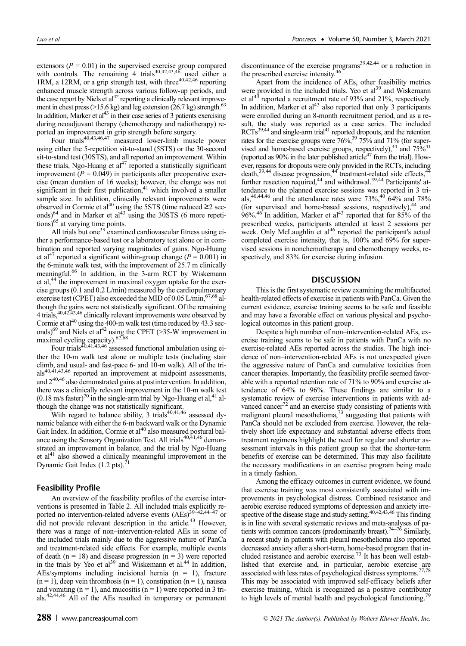extensors ( $P = 0.01$ ) in the supervised exercise group compared with controls. The remaining 4 trials<sup>40,42,43,46</sup> used either a 1RM, a 12RM, or a grip strength test, with three<sup>40,42,46</sup> reporting enhanced muscle strength across various follow-up periods, and the case report by Niels et  $al<sup>42</sup>$  reporting a clinically relevant improvement in chest press (>15.6 kg) and leg extension (26.7 kg) strength.<sup>63</sup> In addition, Marker et  $al<sup>43</sup>$  in their case series of 3 patients exercising during neoadjuvant therapy (chemotherapy and radiotherapy) reported an improvement in grip strength before surgery.<br>Four trials<sup>40,43,46,47</sup> measured lower-limb muscle power

using either the 5-repetition sit-to-stand (5STS) or the 30-second sit-to-stand test (30STS), and all reported an improvement. Within these trials, Ngo-Huang et  $al<sup>47</sup>$  reported a statistically significant improvement ( $P = 0.049$ ) in participants after preoperative exercise (mean duration of 16 weeks); however, the change was not significant in their first publication, $41$  which involved a smaller sample size. In addition, clinically relevant improvements were observed in Cormie et al<sup>40</sup> using the 5STS (time reduced  $\geq$ 2 sec-<br>onds)<sup>64</sup> and in Marker et al<sup>43</sup> using the 30STS (6 more repetiand in Marker et al<sup>43</sup> using the  $30STS$  (6 more repeti- $\frac{\text{time}}{\text{times}}$  of  $\frac{\text{time}}{\text{time}}$  at varying time points.

All trials but one<sup>39</sup> examined cardiovascular fitness using either a performance-based test or a laboratory test alone or in combination and reported varying magnitudes of gains. Ngo-Huang et al<sup>47</sup> reported a significant within-group change ( $P = 0.001$ ) in the 6-minute walk test, with the improvement of 25.7 m clinically meaningful.66 In addition, in the 3-arm RCT by Wiskemann et al,<sup>44</sup> the improvement in maximal oxygen uptake for the exercise groups (0.1 and 0.2 L/min) measured by the cardiopulmonary exercise test (CPET) also exceeded the MID of  $0.05$  L/min,<sup>67,68</sup> although the gains were not statistically significant. Of the remaining 4 trials,<sup>40,42,43,46</sup> clinically relevant improvements were observed by Cormie et al $^{40}$  using the 400-m walk test (time reduced by 43.3 seconds)<sup>69</sup> and Niels et al<sup>42</sup> using the CPET (>35-W improvement in maximal cycling capacity).<sup>67,68</sup>

Four trials<sup>40,41,43,46</sup> assessed functional ambulation using either the 10-m walk test alone or multiple tests (including stair climb, and usual- and fast-pace 6- and 10-m walk). All of the tri $als<sup>40,41,43,46</sup>$  reported an improvement at midpoint assessments, and 240,46 also demonstrated gains at postintervention. In addition, there was a clinically relevant improvement in the 10-m walk test  $(0.18 \text{ m/s faster})^{70}$  in the single-arm trial by Ngo-Huang et al,<sup>41</sup> although the change was not statistically significant.

With regard to balance ability,  $3$  trials<sup>40,41,46</sup> assessed dynamic balance with either the 6-m backward walk or the Dynamic Gait Index. In addition, Cormie et al<sup>40</sup> also measured postural balance using the Sensory Organization Test. All trials<sup>40,41,46</sup> demonstrated an improvement in balance, and the trial by Ngo-Huang et  $al<sup>41</sup>$  also showed a clinically meaningful improvement in the Dynamic Gait Index (1.2 pts).

# Feasibility Profile

An overview of the feasibility profiles of the exercise interventions is presented in Table 2. All included trials explicitly reported no intervention-related adverse events  $(AES)^{39-42,44-47}$  or did not provide relevant description in the article.<sup>43</sup> However, there was a range of non–intervention-related AEs in some of the included trials mainly due to the aggressive nature of PanCa and treatment-related side effects. For example, multiple events of death ( $n = 18$ ) and disease progression ( $n = 3$ ) were reported in the trials by Yeo et  $al<sup>39</sup>$  and Wiskemann et al.<sup>44</sup> In addition, AEs/symptoms including incisional hernia  $(n = 1)$ , fracture  $(n = 1)$ , deep vein thrombosis  $(n = 1)$ , constipation  $(n = 1)$ , nausea and vomiting  $(n = 1)$ , and mucositis  $(n = 1)$  were reported in 3 trials.42,44,46 All of the AEs resulted in temporary or permanent

discontinuance of the exercise programs<sup>39,42,44</sup> or a reduction in the prescribed exercise intensity.<sup>46</sup><br>Apart from the incidence of AEs, other feasibility metrics

Apart from the incidence of AEs, other feasibility metrics were provided in the included trials. Yeo et  $al<sup>39</sup>$  and Wiskemann et al<sup>44</sup> reported a recruitment rate of 93% and 21%, respectively. In addition, Marker et  $al<sup>43</sup>$  also reported that only 3 participants were enrolled during an 8-month recruitment period, and as a result, the study was reported as a case series. The included  $RCTs<sup>39,44</sup>$  and single-arm trial<sup>41</sup> reported dropouts, and the retention rates for the exercise groups were 76%,<sup>39</sup> 75% and 71% (for supervised and home-based exercise groups, respectively), $44$  and  $75\%41$ (reported as  $90\%$  in the later published article<sup>47</sup> from the trial). However, reasons for dropouts were only provided in the RCTs, including death,<sup>39,44</sup> disease progression,<sup>44</sup> treatment-related side effects,<sup>42</sup> further resection required,<sup>44</sup> and withdrawal.<sup>39,44</sup> Participants' attendance to the planned exercise sessions was reported in 3 trials,<sup>40,44,46</sup> and the attendance rates were  $73\%$ ,<sup>40</sup> 64% and 78% (for supervised and home-based sessions, respectively),<sup>44</sup> and 96%.<sup>46</sup> In addition, Marker et al<sup>43</sup> reported that for 85% of the prescribed weeks, participants attended at least 2 sessions per week. Only McLaughlin et  $al^{46}$  reported the participant's actual completed exercise intensity, that is, 100% and 69% for supervised sessions in nonchemotherapy and chemotherapy weeks, respectively, and 83% for exercise during infusion.

## **DISCUSSION**

This is the first systematic review examining the multifaceted health-related effects of exercise in patients with PanCa. Given the current evidence, exercise training seems to be safe and feasible and may have a favorable effect on various physical and psychological outcomes in this patient group.

Despite a high number of non–intervention-related AEs, exercise training seems to be safe in patients with PanCa with no exercise-related AEs reported across the studies. The high incidence of non–intervention-related AEs is not unexpected given the aggressive nature of PanCa and cumulative toxicities from cancer therapies. Importantly, the feasibility profile seemed favorable with a reported retention rate of 71% to 90% and exercise attendance of 64% to 96%. These findings are similar to a systematic review of exercise interventions in patients with advanced cancer<sup> $\alpha$ </sup> and an exercise study consisting of patients with malignant pleural mesothelioma, $7<sup>3</sup>$  suggesting that patients with PanCa should not be excluded from exercise. However, the relatively short life expectancy and substantial adverse effects from treatment regimens highlight the need for regular and shorter assessment intervals in this patient group so that the shorter-term benefits of exercise can be determined. This may also facilitate the necessary modifications in an exercise program being made in a timely fashion.

Among the efficacy outcomes in current evidence, we found that exercise training was most consistently associated with improvements in psychological distress. Combined resistance and aerobic exercise reduced symptoms of depression and anxiety irre-<br>spective of the disease stage and study setting.<sup>40,42,43,46</sup> This finding is in line with several systematic reviews and meta-analyses of patients with common cancers (predominantly breast).<sup>74–76</sup> Similarly, a recent study in patients with pleural mesothelioma also reported decreased anxiety after a short-term, home-based program that included resistance and aerobic exercise.<sup>73</sup> It has been well established that exercise and, in particular, aerobic exercise are associated with less rates of psychological distress symptoms.<sup>77,78</sup> This may be associated with improved self-efficacy beliefs after exercise training, which is recognized as a positive contributor to high levels of mental health and psychological functioning.<sup>7</sup>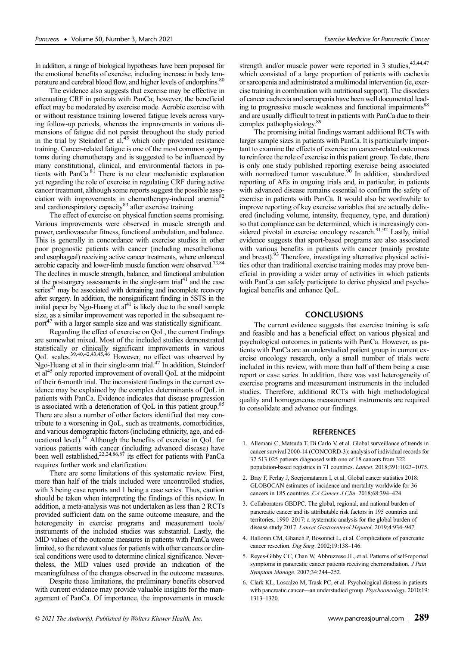In addition, a range of biological hypotheses have been proposed for the emotional benefits of exercise, including increase in body temperature and cerebral blood flow, and higher levels of endorphins.<sup>80</sup>

The evidence also suggests that exercise may be effective in attenuating CRF in patients with PanCa; however, the beneficial effect may be moderated by exercise mode. Aerobic exercise with or without resistance training lowered fatigue levels across varying follow-up periods, whereas the improvements in various dimensions of fatigue did not persist throughout the study period in the trial by Steindorf et  $al<sub>1</sub><sup>45</sup>$  which only provided resistance training. Cancer-related fatigue is one of the most common symptoms during chemotherapy and is suggested to be influenced by many constitutional, clinical, and environmental factors in patients with PanCa.<sup>81</sup> There is no clear mechanistic explanation yet regarding the role of exercise in regulating CRF during active cancer treatment, although some reports suggest the possible association with improvements in chemotherapy-induced anemia<sup>82</sup> and cardiorespiratory capacity<sup>83</sup> after exercise training.

The effect of exercise on physical function seems promising. Various improvements were observed in muscle strength and power, cardiovascular fitness, functional ambulation, and balance. This is generally in concordance with exercise studies in other poor prognostic patients with cancer (including mesothelioma and esophageal) receiving active cancer treatments, where enhanced aerobic capacity and lower-limb muscle function were observed.73,84 The declines in muscle strength, balance, and functional ambulation at the postsurgery assessments in the single-arm trial<sup>41</sup> and the case  $s$ eries $43$  may be associated with detraining and incomplete recovery after surgery. In addition, the nonsignificant finding in 5STS in the initial paper by Ngo-Huang et  $al<sup>41</sup>$  is likely due to the small sample size, as a similar improvement was reported in the subsequent report $^{47}$  with a larger sample size and was statistically significant.

Regarding the effect of exercise on QoL, the current findings are somewhat mixed. Most of the included studies demonstrated statistically or clinically significant improvements in various<br>QoL scales.<sup>39,40,42,43,45,46</sup> However, no effect was observed by Ngo-Huang et al in their single-arm trial.<sup>47</sup> In addition, Steindorf et al45 only reported improvement of overall QoL at the midpoint of their 6-month trial. The inconsistent findings in the current evidence may be explained by the complex determinants of QoL in patients with PanCa. Evidence indicates that disease progression is associated with a deterioration of QoL in this patient group.<sup>85</sup> There are also a number of other factors identified that may contribute to a worsening in QoL, such as treatments, comorbidities, and various demographic factors (including ethnicity, age, and educational level).<sup>16</sup> Although the benefits of exercise in QoL for various patients with cancer (including advanced disease) have been well established,<sup>22,24,86,87</sup> its effect for patients with PanCa requires further work and clarification.

There are some limitations of this systematic review. First, more than half of the trials included were uncontrolled studies, with 3 being case reports and 1 being a case series. Thus, caution should be taken when interpreting the findings of this review. In addition, a meta-analysis was not undertaken as less than 2 RCTs provided sufficient data on the same outcome measure, and the heterogeneity in exercise programs and measurement tools/ instruments of the included studies was substantial. Lastly, the MID values of the outcome measures in patients with PanCa were limited, so the relevant values for patients with other cancers or clinical conditions were used to determine clinical significance. Nevertheless, the MID values used provide an indication of the meaningfulness of the changes observed in the outcome measures.

Despite these limitations, the preliminary benefits observed with current evidence may provide valuable insights for the management of PanCa. Of importance, the improvements in muscle strength and/or muscle power were reported in 3 studies,  $43,44,47$ which consisted of a large proportion of patients with cachexia or sarcopenia and administrated a multimodal intervention (ie, exercise training in combination with nutritional support). The disorders of cancer cachexia and sarcopenia have been well documented leading to progressive muscle weakness and functional impairments<sup>88</sup> and are usually difficult to treat in patients with PanCa due to their complex pathophysiology.89

The promising initial findings warrant additional RCTs with larger sample sizes in patients with PanCa. It is particularly important to examine the effects of exercise on cancer-related outcomes to reinforce the role of exercise in this patient group. To date, there is only one study published reporting exercise being associated with normalized tumor vasculature.<sup>90</sup> In addition, standardized reporting of AEs in ongoing trials and, in particular, in patients with advanced disease remains essential to confirm the safety of exercise in patients with PanCa. It would also be worthwhile to improve reporting of key exercise variables that are actually delivered (including volume, intensity, frequency, type, and duration) so that compliance can be determined, which is increasingly considered pivotal in exercise oncology research.<sup>91,92</sup> Lastly, initial evidence suggests that sport-based programs are also associated with various benefits in patients with cancer (mainly prostate and breast).<sup>93</sup> Therefore, investigating alternative physical activities other than traditional exercise training modes may prove beneficial in providing a wider array of activities in which patients with PanCa can safely participate to derive physical and psychological benefits and enhance QoL.

## **CONCLUSIONS**

The current evidence suggests that exercise training is safe and feasible and has a beneficial effect on various physical and psychological outcomes in patients with PanCa. However, as patients with PanCa are an understudied patient group in current exercise oncology research, only a small number of trials were included in this review, with more than half of them being a case report or case series. In addition, there was vast heterogeneity of exercise programs and measurement instruments in the included studies. Therefore, additional RCTs with high methodological quality and homogeneous measurement instruments are required to consolidate and advance our findings.

#### **REFERENCES**

- 1. Allemani C, Matsuda T, Di Carlo V, et al. Global surveillance of trends in cancer survival 2000-14 (CONCORD-3): analysis of individual records for 37 513 025 patients diagnosed with one of 18 cancers from 322 population-based registries in 71 countries. Lancet. 2018;391:1023–1075.
- 2. Bray F, Ferlay J, Soerjomataram I, et al. Global cancer statistics 2018: GLOBOCAN estimates of incidence and mortality worldwide for 36 cancers in 185 countries. CA Cancer J Clin. 2018;68:394–424.
- 3. Collaborators GBDPC. The global, regional, and national burden of pancreatic cancer and its attributable risk factors in 195 countries and territories, 1990–2017: a systematic analysis for the global burden of disease study 2017. Lancet Gastroenterol Hepatol. 2019;4:934–947.
- 4. Halloran CM, Ghaneh P, Bosonnet L, et al. Complications of pancreatic cancer resection. Dig Surg. 2002;19:138–146.
- 5. Reyes-Gibby CC, Chan W, Abbruzzese JL, et al. Patterns of self-reported symptoms in pancreatic cancer patients receiving chemoradiation. J Pain Symptom Manage. 2007;34:244–252.
- 6. Clark KL, Loscalzo M, Trask PC, et al. Psychological distress in patients with pancreatic cancer—an understudied group. Psychooncology. 2010;19: 1313–1320.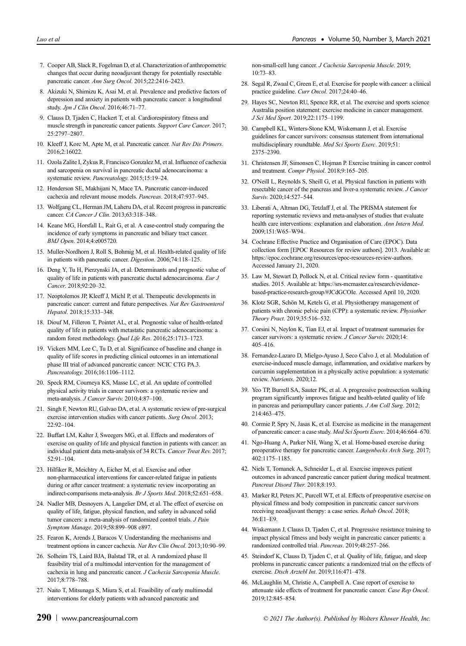- 7. Cooper AB, Slack R, Fogelman D, et al. Characterization of anthropometric changes that occur during neoadjuvant therapy for potentially resectable pancreatic cancer. Ann Surg Oncol. 2015;22:2416-2423.
- 8. Akizuki N, Shimizu K, Asai M, et al. Prevalence and predictive factors of depression and anxiety in patients with pancreatic cancer: a longitudinal study. Jpn J Clin Oncol. 2016;46:71-77.
- 9. Clauss D, Tjaden C, Hackert T, et al. Cardiorespiratory fitness and muscle strength in pancreatic cancer patients. Support Care Cancer. 2017; 25:2797–2807.
- 10. Kleeff J, Korc M, Apte M, et al. Pancreatic cancer. Nat Rev Dis Primers. 2016;2:16022.
- 11. Ozola Zalite I, Zykus R, Francisco Gonzalez M, et al. Influence of cachexia and sarcopenia on survival in pancreatic ductal adenocarcinoma: a systematic review. Pancreatology. 2015;15:19–24.
- 12. Henderson SE, Makhijani N, Mace TA. Pancreatic cancer-induced cachexia and relevant mouse models. Pancreas. 2018;47:937–945.
- 13. Wolfgang CL, Herman JM, Laheru DA, et al. Recent progress in pancreatic cancer. CA Cancer J Clin. 2013;63:318–348.
- 14. Keane MG, Horsfall L, Rait G, et al. A case-control study comparing the incidence of early symptoms in pancreatic and biliary tract cancer. BMJ Open. 2014;4:e005720.
- 15. Muller-Nordhorn J, Roll S, Bohmig M, et al. Health-related quality of life in patients with pancreatic cancer. Digestion. 2006;74:118–125.
- 16. Deng Y, Tu H, Pierzynski JA, et al. Determinants and prognostic value of quality of life in patients with pancreatic ductal adenocarcinoma. Eur J Cancer. 2018;92:20–32.
- 17. Neoptolemos JP, Kleeff J, Michl P, et al. Therapeutic developments in pancreatic cancer: current and future perspectives. Nat Rev Gastroenterol Hepatol. 2018;15:333–348.
- 18. Diouf M, Filleron T, Pointet AL, et al. Prognostic value of health-related quality of life in patients with metastatic pancreatic adenocarcinoma: a random forest methodology. Qual Life Res. 2016;25:1713–1723.
- 19. Vickers MM, Lee C, Tu D, et al. Significance of baseline and change in quality of life scores in predicting clinical outcomes in an international phase III trial of advanced pancreatic cancer: NCIC CTG PA.3. Pancreatology. 2016;16:1106–1112.
- 20. Speck RM, Courneya KS, Masse LC, et al. An update of controlled physical activity trials in cancer survivors: a systematic review and meta-analysis. J Cancer Surviv. 2010;4:87–100.
- 21. Singh F, Newton RU, Galvao DA, et al. A systematic review of pre-surgical exercise intervention studies with cancer patients. Surg Oncol. 2013;  $22.92 - 104$
- 22. Buffart LM, Kalter J, Sweegers MG, et al. Effects and moderators of exercise on quality of life and physical function in patients with cancer: an individual patient data meta-analysis of 34 RCTs. Cancer Treat Rev. 2017; 52:91–104.
- 23. Hilfiker R, Meichtry A, Eicher M, et al. Exercise and other non-pharmaceutical interventions for cancer-related fatigue in patients during or after cancer treatment: a systematic review incorporating an indirect-comparisons meta-analysis. Br J Sports Med. 2018;52:651–658.
- 24. Nadler MB, Desnoyers A, Langelier DM, et al. The effect of exercise on quality of life, fatigue, physical function, and safety in advanced solid tumor cancers: a meta-analysis of randomized control trials. J Pain Symptom Manage. 2019;58:899–908 e897.
- 25. Fearon K, Arends J, Baracos V. Understanding the mechanisms and treatment options in cancer cachexia. Nat Rev Clin Oncol. 2013;10:90–99.
- 26. Solheim TS, Laird BJA, Balstad TR, et al. A randomized phase II feasibility trial of a multimodal intervention for the management of cachexia in lung and pancreatic cancer. J Cachexia Sarcopenia Muscle. 2017;8:778–788.
- 27. Naito T, Mitsunaga S, Miura S, et al. Feasibility of early multimodal interventions for elderly patients with advanced pancreatic and

non-small-cell lung cancer. J Cachexia Sarcopenia Muscle. 2019; 10:73–83.

- 28. Segal R, Zwaal C, Green E, et al. Exercise for people with cancer: a clinical practice guideline. Curr Oncol. 2017;24:40–46.
- 29. Hayes SC, Newton RU, Spence RR, et al. The exercise and sports science Australia position statement: exercise medicine in cancer management. J Sci Med Sport. 2019;22:1175–1199.
- 30. Campbell KL, Winters-Stone KM, Wiskemann J, et al. Exercise guidelines for cancer survivors: consensus statement from international multidisciplinary roundtable. Med Sci Sports Exerc. 2019;51: 2375–2390.
- 31. Christensen JF, Simonsen C, Hojman P. Exercise training in cancer control and treatment. Compr Physiol. 2018;9:165–205.
- 32. O'Neill L, Reynolds S, Sheill G, et al. Physical function in patients with resectable cancer of the pancreas and liver-a systematic review. J Cancer Surviv. 2020;14:527–544.
- 33. Liberati A, Altman DG, Tetzlaff J, et al. The PRISMA statement for reporting systematic reviews and meta-analyses of studies that evaluate health care interventions: explanation and elaboration. Ann Intern Med. 2009;151:W65–W94.
- 34. Cochrane Effective Practice and Organisation of Care (EPOC). Data collection form [EPOC Resources for review authors]. 2013. Available at: [https://epoc.cochrane.org/resources/epoc-resources-review-authors.](https://epoc.cochrane.org/resources/epoc-resources-review-authors) Accessed January 21, 2020.
- 35. Law M, Stewart D, Pollock N, et al. Critical review form quantitative studies. 2015. Available at: [https://srs-mcmaster.ca/research/evidence](https://srs-mcmaster.ca/research/evidence-based-practice-research-group/#JCdGCOIe)[based-practice-research-group/#JCdGCOIe](https://srs-mcmaster.ca/research/evidence-based-practice-research-group/#JCdGCOIe). Accessed April 10, 2020.
- 36. Klotz SGR, Schön M, Ketels G, et al. Physiotherapy management of patients with chronic pelvic pain (CPP): a systematic review. Physiother Theory Pract. 2019;35:516–532.
- 37. Corsini N, Neylon K, Tian EJ, et al. Impact of treatment summaries for cancer survivors: a systematic review. J Cancer Surviv. 2020;14: 405–416.
- 38. Fernandez-Lazaro D, Mielgo-Ayuso J, Seco Calvo J, et al. Modulation of exercise-induced muscle damage, inflammation, and oxidative markers by curcumin supplementation in a physically active population: a systematic review. Nutrients. 2020;12.
- 39. Yeo TP, Burrell SA, Sauter PK, et al. A progressive postresection walking program significantly improves fatigue and health-related quality of life in pancreas and periampullary cancer patients. J Am Coll Surg. 2012; 214:463–475.
- 40. Cormie P, Spry N, Jasas K, et al. Exercise as medicine in the management of pancreatic cancer: a case study. Med Sci Sports Exerc. 2014;46:664–670.
- 41. Ngo-Huang A, Parker NH, Wang X, et al. Home-based exercise during preoperative therapy for pancreatic cancer. Langenbecks Arch Surg. 2017; 402:1175–1185.
- 42. Niels T, Tomanek A, Schneider L, et al. Exercise improves patient outcomes in advanced pancreatic cancer patient during medical treatment. Pancreat Disord Ther. 2018;8:193.
- 43. Marker RJ, Peters JC, Purcell WT, et al. Effects of preoperative exercise on physical fitness and body composition in pancreatic cancer survivors receiving neoadjuvant therapy: a case series. Rehab Oncol. 2018; 36:E1–E9.
- 44. Wiskemann J, Clauss D, Tjaden C, et al. Progressive resistance training to impact physical fitness and body weight in pancreatic cancer patients: a randomized controlled trial. Pancreas. 2019;48:257–266.
- 45. Steindorf K, Clauss D, Tjaden C, et al. Quality of life, fatigue, and sleep problems in pancreatic cancer patients: a randomized trial on the effects of exercise. Dtsch Arztebl Int. 2019;116:471–478.
- 46. McLaughlin M, Christie A, Campbell A. Case report of exercise to attenuate side effects of treatment for pancreatic cancer. Case Rep Oncol. 2019;12:845–854.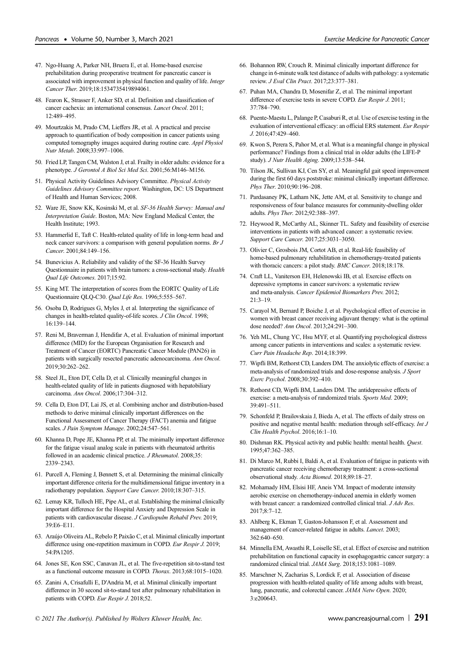- 47. Ngo-Huang A, Parker NH, Bruera E, et al. Home-based exercise prehabilitation during preoperative treatment for pancreatic cancer is associated with improvement in physical function and quality of life. Integr Cancer Ther. 2019;18:1534735419894061.
- 48. Fearon K, Strasser F, Anker SD, et al. Definition and classification of cancer cachexia: an international consensus. Lancet Oncol. 2011; 12:489–495.
- 49. Mourtzakis M, Prado CM, Lieffers JR, et al. A practical and precise approach to quantification of body composition in cancer patients using computed tomography images acquired during routine care. Appl Physiol Nutr Metab. 2008;33:997–1006.
- 50. Fried LP, Tangen CM, Walston J, et al. Frailty in older adults: evidence for a phenotype. J Gerontol A Biol Sci Med Sci. 2001;56:M146–M156.
- 51. Physical Activity Guidelines Advisory Committee. Physical Activity Guidelines Advisory Committee report. Washington, DC: US Department of Health and Human Services; 2008.
- 52. Ware JE, Snow KK, Kosinski M, et al. SF-36 Health Survey: Manual and Interpretation Guide. Boston, MA: New England Medical Center, the Health Institute; 1993.
- 53. Hammerlid E, Taft C. Health-related quality of life in long-term head and neck cancer survivors: a comparison with general population norms. Br J Cancer. 2001;84:149–156.
- 54. Bunevicius A. Reliability and validity of the SF-36 Health Survey Questionnaire in patients with brain tumors: a cross-sectional study. Health Qual Life Outcomes. 2017;15:92.
- 55. King MT. The interpretation of scores from the EORTC Quality of Life Questionnaire QLQ-C30. Qual Life Res. 1996;5:555–567.
- 56. Osoba D, Rodrigues G, Myles J, et al. Interpreting the significance of changes in health-related quality-of-life scores. J Clin Oncol. 1998; 16:139–144.
- 57. Reni M, Braverman J, Hendifar A, et al. Evaluation of minimal important difference (MID) for the European Organisation for Research and Treatment of Cancer (EORTC) Pancreatic Cancer Module (PAN26) in patients with surgically resected pancreatic adenocarcinoma. Ann Oncol. 2019;30:262–262.
- 58. Steel JL, Eton DT, Cella D, et al. Clinically meaningful changes in health-related quality of life in patients diagnosed with hepatobiliary carcinoma. Ann Oncol. 2006;17:304–312.
- 59. Cella D, Eton DT, Lai JS, et al. Combining anchor and distribution-based methods to derive minimal clinically important differences on the Functional Assessment of Cancer Therapy (FACT) anemia and fatigue scales. J Pain Symptom Manage. 2002;24:547–561.
- 60. Khanna D, Pope JE, Khanna PP, et al. The minimally important difference for the fatigue visual analog scale in patients with rheumatoid arthritis followed in an academic clinical practice. J Rheumatol. 2008;35: 2339–2343.
- 61. Purcell A, Fleming J, Bennett S, et al. Determining the minimal clinically important difference criteria for the multidimensional fatigue inventory in a radiotherapy population. Support Care Cancer. 2010;18:307–315.
- 62. Lemay KR, Tulloch HE, Pipe AL, et al. Establishing the minimal clinically important difference for the Hospital Anxiety and Depression Scale in patients with cardiovascular disease. J Cardiopulm Rehabil Prev. 2019; 39:E6–E11.
- 63. Araújo Oliveira AL, Rebelo P, Paixão C, et al. Minimal clinically important difference using one-repetition maximum in COPD. Eur Respir J. 2019; 54:PA1205.
- 64. Jones SE, Kon SSC, Canavan JL, et al. The five-repetition sit-to-stand test as a functional outcome measure in COPD. Thorax. 2013;68:1015–1020.
- 65. Zanini A, Crisafulli E, D'Andria M, et al. Minimal clinically important difference in 30 second sit-to-stand test after pulmonary rehabilitation in patients with COPD. Eur Respir J. 2018;52.
- 66. Bohannon RW, Crouch R. Minimal clinically important difference for change in 6-minute walk test distance of adults with pathology: a systematic review. J Eval Clin Pract. 2017;23:377–381.
- 67. Puhan MA, Chandra D, Mosenifar Z, et al. The minimal important difference of exercise tests in severe COPD. Eur Respir J. 2011; 37:784–790.
- 68. Puente-Maestu L, Palange P, Casaburi R, et al. Use of exercise testing in the evaluation of interventional efficacy: an official ERS statement. Eur Respir J. 2016;47:429–460.
- 69. Kwon S, Perera S, Pahor M, et al. What is a meaningful change in physical performance? Findings from a clinical trial in older adults (the LIFE-P study). J Nutr Health Aging. 2009;13:538–544.
- 70. Tilson JK, Sullivan KJ, Cen SY, et al. Meaningful gait speed improvement during the first 60 days poststroke: minimal clinically important difference. Phys Ther. 2010;90:196–208.
- 71. Pardasaney PK, Latham NK, Jette AM, et al. Sensitivity to change and responsiveness of four balance measures for community-dwelling older adults. Phys Ther. 2012;92:388–397.
- 72. Heywood R, McCarthy AL, Skinner TL. Safety and feasibility of exercise interventions in patients with advanced cancer: a systematic review. Support Care Cancer. 2017;25:3031–3050.
- 73. Olivier C, Grosbois JM, Cortot AB, et al. Real-life feasibility of home-based pulmonary rehabilitation in chemotherapy-treated patients with thoracic cancers: a pilot study. BMC Cancer. 2018;18:178.
- 74. Craft LL, Vaniterson EH, Helenowski IB, et al. Exercise effects on depressive symptoms in cancer survivors: a systematic review and meta-analysis. Cancer Epidemiol Biomarkers Prev. 2012; 21:3–19.
- 75. Carayol M, Bernard P, Boiche J, et al. Psychological effect of exercise in women with breast cancer receiving adjuvant therapy: what is the optimal dose needed? Ann Oncol. 2013;24:291–300.
- 76. Yeh ML, Chung YC, Hsu MYF, et al. Quantifying psychological distress among cancer patients in interventions and scales: a systematic review. Curr Pain Headache Rep. 2014;18:399.
- 77. Wipfli BM, Rethorst CD, Landers DM. The anxiolytic effects of exercise: a meta-analysis of randomized trials and dose-response analysis. J Sport Exerc Psychol. 2008;30:392–410.
- 78. Rethorst CD, Wipfli BM, Landers DM. The antidepressive effects of exercise: a meta-analysis of randomized trials. Sports Med. 2009; 39:491–511.
- 79. Schonfeld P, Brailovskaia J, Bieda A, et al. The effects of daily stress on positive and negative mental health: mediation through self-efficacy. Int J Clin Health Psychol. 2016;16:1–10.
- 80. Dishman RK. Physical activity and public health: mental health. Quest. 1995;47:362–385.
- 81. Di Marco M, Rubbi I, Baldi A, et al. Evaluation of fatigue in patients with pancreatic cancer receiving chemotherapy treatment: a cross-sectional observational study. Acta Biomed. 2018;89:18–27.
- 82. Mohamady HM, Elsisi HF, Aneis YM. Impact of moderate intensity aerobic exercise on chemotherapy-induced anemia in elderly women with breast cancer: a randomized controlled clinical trial.  $J Adv$  Res.  $2017.8.7 - 12$
- 83. Ahlberg K, Ekman T, Gaston-Johansson F, et al. Assessment and management of cancer-related fatigue in adults. Lancet. 2003; 362:640–650.
- 84. Minnella EM, Awasthi R, Loiselle SE, et al. Effect of exercise and nutrition prehabilitation on functional capacity in esophagogastric cancer surgery: a randomized clinical trial. JAMA Surg. 2018;153:1081-1089.
- 85. Marschner N, Zacharias S, Lordick F, et al. Association of disease progression with health-related quality of life among adults with breast, lung, pancreatic, and colorectal cancer. JAMA Netw Open. 2020; 3:e200643.